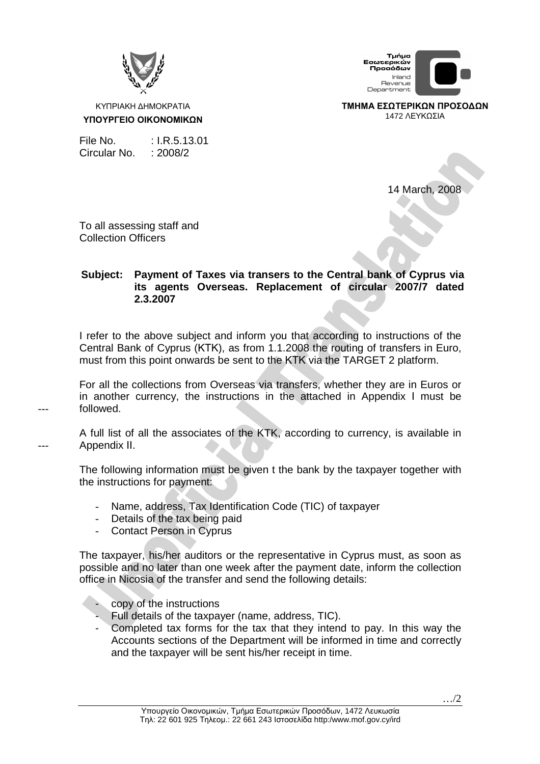

ΚΥΠΡΙΑΚΗ ∆ΗΜΟΚΡΑΤΙΑ **ΥΠΟΥΡΓΕΙΟ ΟΙΚΟΝΟΜΙΚΩΝ**

Τμήμα Εσωτερικών ----------<br>Προσόδων Inland Revenue<br>Department

**ΤΜΗΜΑ ΕΣΩΤΕΡΙΚΩΝ ΠΡΟΣΟ∆ΩΝ** 1472 ΛΕΥΚΩΣΙΑ

File No. : I.R.5.13.01 Circular No. : 2008/2

14 March, 2008

To all assessing staff and Collection Officers

---

---

## **Subject: Payment of Taxes via transers to the Central bank of Cyprus via its agents Overseas. Replacement of circular 2007/7 dated 2.3.2007**

I refer to the above subject and inform you that according to instructions of the Central Bank of Cyprus (ΚΤΚ), as from 1.1.2008 the routing of transfers in Euro, must from this point onwards be sent to the ΚΤΚ via the TARGET 2 platform.

For all the collections from Overseas via transfers, whether they are in Euros or in another currency, the instructions in the attached in Appendix Ι must be followed.

A full list of all the associates of the KTK, according to currency, is available in Appendix ΙΙ.

The following information must be given t the bank by the taxpayer together with the instructions for payment:

- Name, address, Tax Identification Code (TIC) of taxpayer
- Details of the tax being paid
- Contact Person in Cyprus

The taxpayer, his/her auditors or the representative in Cyprus must, as soon as possible and no later than one week after the payment date, inform the collection office in Nicosia of the transfer and send the following details:

- copy of the instructions
- Full details of the taxpayer (name, address, TIC).
- Completed tax forms for the tax that they intend to pay. In this way the Accounts sections of the Department will be informed in time and correctly and the taxpayer will be sent his/her receipt in time.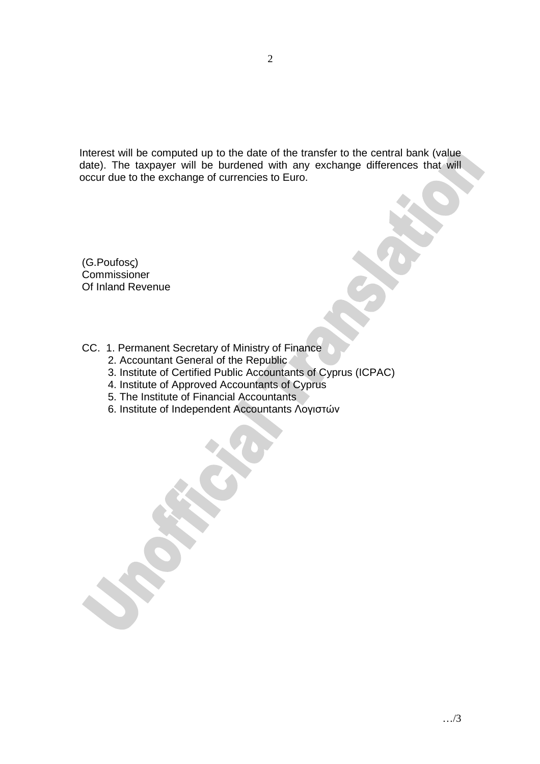Interest will be computed up to the date of the transfer to the central bank (value date). The taxpayer will be burdened with any exchange differences that will occur due to the exchange of currencies to Euro.

(G.Poufosς) Commissioner Of Inland Revenue

CC. 1. Permanent Secretary of Ministry of Finance

- 2. Accountant General of the Republic
- 3. Institute of Certified Public Accountants of Cyprus (ICPAC)
- 4. Institute of Approved Accountants of Cyprus
- 5. The Institute of Financial Accountants
- 6. Institute of Independent Accountants Λογιστών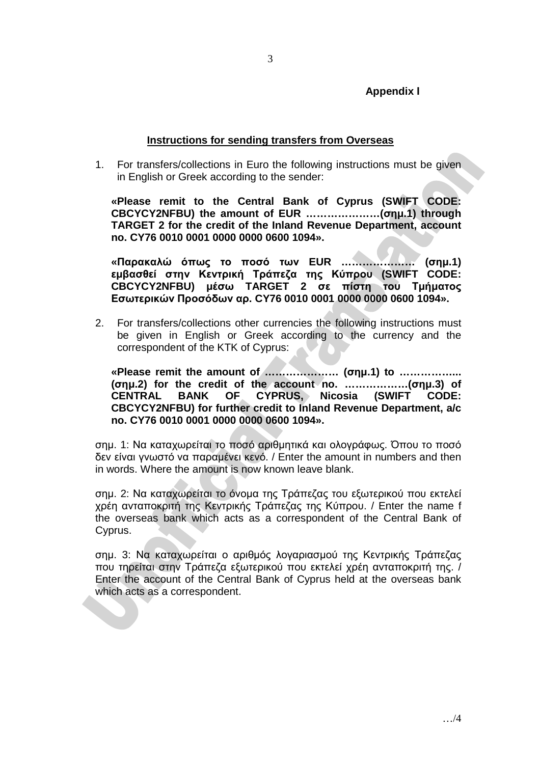### **Instructions for sending transfers from Overseas**

1. For transfers/collections in Euro the following instructions must be given in English or Greek according to the sender:

**«Please remit to the Central Bank of Cyprus (SWIFT CODE: CBCYCY2NFBU) the amount of EUR …………………(σηµ.1) through TARGET 2 for the credit of the Inland Revenue Department, account no. CY76 0010 0001 0000 0000 0600 1094».** 

**«Παρακαλώ όπως το ποσό των EUR ………………… (σηµ.1) εµβασθεί στην Κεντρική Τράπεζα της Κύπρου (SWIFT CODE: CBCYCY2NFBU) µέσω TARGET 2 σε πίστη του Τµήµατος Εσωτερικών Προσόδων αρ. CY76 0010 0001 0000 0000 0600 1094».** 

2. For transfers/collections other currencies the following instructions must be given in English or Greek according to the currency and the correspondent of the KTK of Cyprus:

**«Please remit the amount of ………………… (σηµ.1) to ……………... (σηµ.2) for the credit of the account no. ………………(σηµ.3) of CENTRAL BANK OF CYPRUS, Nicosia (SWIFT CODE: CBCYCY2NFBU) for further credit to Inland Revenue Department, a/c no. CY76 0010 0001 0000 0000 0600 1094».** 

σηµ. 1: Να καταχωρείται το ποσό αριθµητικά και ολογράφως. Όπου το ποσό δεν είναι γνωστό να παραµένει κενό. / Enter the amount in numbers and then in words. Where the amount is now known leave blank.

σηµ. 2: Να καταχωρείται το όνοµα της Τράπεζας του εξωτερικού που εκτελεί χρέη ανταποκριτή της Κεντρικής Τράπεζας της Κύπρου. / Enter the name f the overseas bank which acts as a correspondent of the Central Bank of Cyprus.

σηµ. 3: Να καταχωρείται ο αριθµός λογαριασµού της Κεντρικής Τράπεζας που τηρείται στην Τράπεζα εξωτερικού που εκτελεί χρέη ανταποκριτή της. / Enter the account of the Central Bank of Cyprus held at the overseas bank which acts as a correspondent.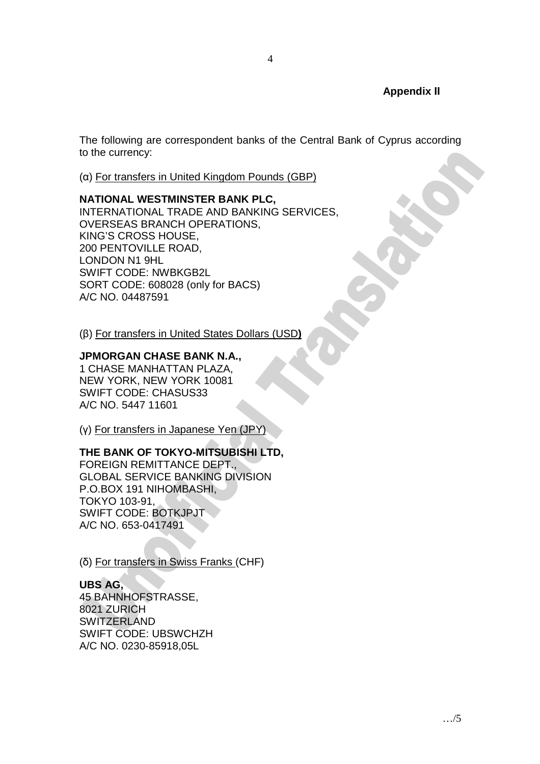### **Appendix ΙΙ**

The following are correspondent banks of the Central Bank of Cyprus according to the currency:

(α) For transfers in United Kingdom Pounds (GBP)

#### **NATIONAL WESTMINSTER BANK PLC,**

INTERNATIONAL TRADE AND BANKING SERVICES, OVERSEAS BRANCH OPERATIONS, KING'S CROSS HOUSE, 200 PENTOVILLE ROAD, LONDON N1 9HL SWIFT CODE: NWBKGB2L SORT CODE: 608028 (only for BACS) A/C NO. 04487591

(β) For transfers in United States Dollars (USD**)**

### **JPMORGAN CHASE BANK N.A.,**

1 CHASE MANHATTAN PLAZA, NEW YORK, NEW YORK 10081 SWIFT CODE: CHASUS33 A/C NO. 5447 11601

(γ) For transfers in Japanese Yen (JPY)

#### **THE BANK OF TOKYO-MITSUBISHI LTD,**

FOREIGN REMITTANCE DEPT., GLOBAL SERVICE BANKING DIVISION P.O.BOX 191 NIHOMBASHI, TOKYO 103-91, SWIFT CODE: BOTKJPJT A/C NO. 653-0417491

(δ) For transfers in Swiss Franks (CHF)

#### **UBS AG,**

45 BAHNHOFSTRASSE, 8021 ZURICH SWITZERLAND SWIFT CODE: UBSWCHZH A/C NO. 0230-85918,05L